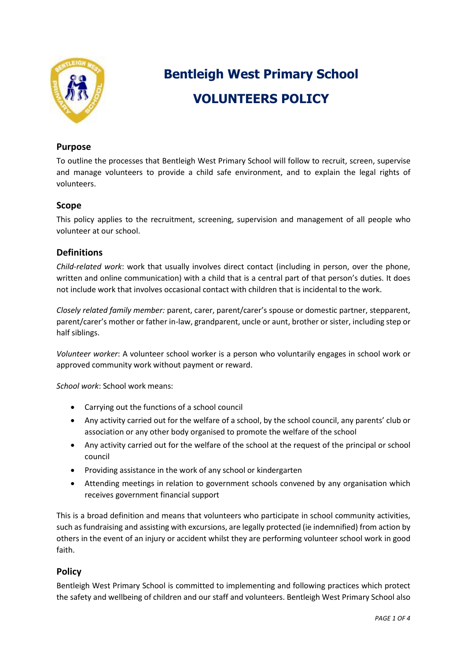

# **Bentleigh West Primary School VOLUNTEERS POLICY**

## **Purpose**

To outline the processes that Bentleigh West Primary School will follow to recruit, screen, supervise and manage volunteers to provide a child safe environment, and to explain the legal rights of volunteers.

# **Scope**

This policy applies to the recruitment, screening, supervision and management of all people who volunteer at our school.

# **Definitions**

*Child-related work*: work that usually involves direct contact (including in person, over the phone, written and online communication) with a child that is a central part of that person's duties. It does not include work that involves occasional contact with children that is incidental to the work.

*Closely related family member:* parent, carer, parent/carer's spouse or domestic partner, stepparent, parent/carer's mother or father in-law, grandparent, uncle or aunt, brother or sister, including step or half siblings.

*Volunteer worker*: A volunteer school worker is a person who voluntarily engages in school work or approved community work without payment or reward.

*School work*: School work means:

- Carrying out the functions of a school council
- Any activity carried out for the welfare of a school, by the school council, any parents' club or association or any other body organised to promote the welfare of the school
- Any activity carried out for the welfare of the school at the request of the principal or school council
- Providing assistance in the work of any school or kindergarten
- Attending meetings in relation to government schools convened by any organisation which receives government financial support

This is a broad definition and means that volunteers who participate in school community activities, such as fundraising and assisting with excursions, are legally protected (ie indemnified) from action by others in the event of an injury or accident whilst they are performing volunteer school work in good faith.

## **Policy**

Bentleigh West Primary School is committed to implementing and following practices which protect the safety and wellbeing of children and our staff and volunteers. Bentleigh West Primary School also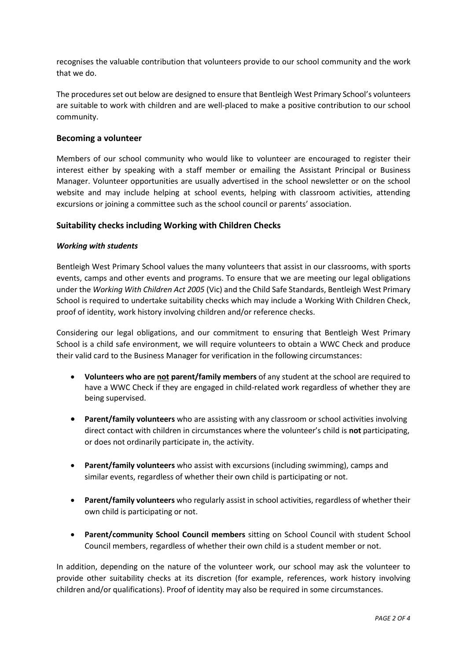recognises the valuable contribution that volunteers provide to our school community and the work that we do.

The procedures set out below are designed to ensure that Bentleigh West Primary School's volunteers are suitable to work with children and are well-placed to make a positive contribution to our school community.

#### **Becoming a volunteer**

Members of our school community who would like to volunteer are encouraged to register their interest either by speaking with a staff member or emailing the Assistant Principal or Business Manager. Volunteer opportunities are usually advertised in the school newsletter or on the school website and may include helping at school events, helping with classroom activities, attending excursions or joining a committee such as the school council or parents' association.

### **Suitability checks including Working with Children Checks**

#### *Working with students*

Bentleigh West Primary School values the many volunteers that assist in our classrooms, with sports events, camps and other events and programs. To ensure that we are meeting our legal obligations under the *Working With Children Act 2005* (Vic) and the Child Safe Standards, Bentleigh West Primary School is required to undertake suitability checks which may include a Working With Children Check, proof of identity, work history involving children and/or reference checks.

Considering our legal obligations, and our commitment to ensuring that Bentleigh West Primary School is a child safe environment, we will require volunteers to obtain a WWC Check and produce their valid card to the Business Manager for verification in the following circumstances:

- **Volunteers who are not parent/family members** of any student at the school are required to have a WWC Check if they are engaged in child-related work regardless of whether they are being supervised.
- **Parent/family volunteers** who are assisting with any classroom or school activities involving direct contact with children in circumstances where the volunteer's child is **not** participating, or does not ordinarily participate in, the activity.
- **Parent/family volunteers** who assist with excursions (including swimming), camps and similar events, regardless of whether their own child is participating or not.
- **Parent/family volunteers** who regularly assist in school activities, regardless of whether their own child is participating or not.
- **Parent/community School Council members** sitting on School Council with student School Council members, regardless of whether their own child is a student member or not.

In addition, depending on the nature of the volunteer work, our school may ask the volunteer to provide other suitability checks at its discretion (for example, references, work history involving children and/or qualifications). Proof of identity may also be required in some circumstances.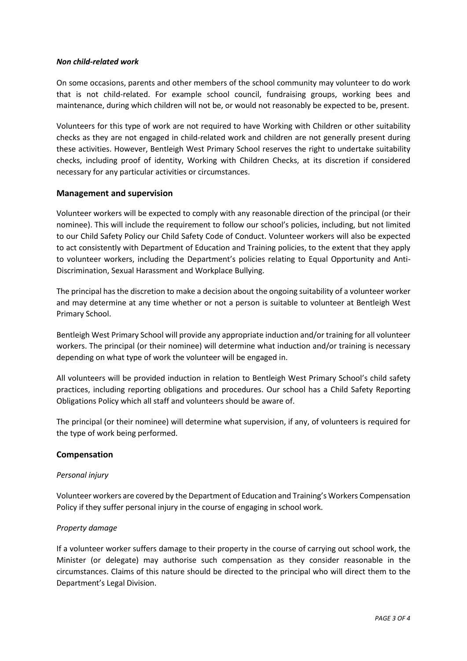#### *Non child-related work*

On some occasions, parents and other members of the school community may volunteer to do work that is not child-related. For example school council, fundraising groups, working bees and maintenance, during which children will not be, or would not reasonably be expected to be, present.

Volunteers for this type of work are not required to have Working with Children or other suitability checks as they are not engaged in child-related work and children are not generally present during these activities. However, Bentleigh West Primary School reserves the right to undertake suitability checks, including proof of identity, Working with Children Checks, at its discretion if considered necessary for any particular activities or circumstances.

#### **Management and supervision**

Volunteer workers will be expected to comply with any reasonable direction of the principal (or their nominee). This will include the requirement to follow our school's policies, including, but not limited to our Child Safety Policy our Child Safety Code of Conduct. Volunteer workers will also be expected to act consistently with Department of Education and Training policies, to the extent that they apply to volunteer workers, including the Department's policies relating to Equal Opportunity and Anti-Discrimination, Sexual Harassment and Workplace Bullying.

The principal has the discretion to make a decision about the ongoing suitability of a volunteer worker and may determine at any time whether or not a person is suitable to volunteer at Bentleigh West Primary School.

Bentleigh West Primary School will provide any appropriate induction and/or training for all volunteer workers. The principal (or their nominee) will determine what induction and/or training is necessary depending on what type of work the volunteer will be engaged in.

All volunteers will be provided induction in relation to Bentleigh West Primary School's child safety practices, including reporting obligations and procedures. Our school has a Child Safety Reporting Obligations Policy which all staff and volunteers should be aware of.

The principal (or their nominee) will determine what supervision, if any, of volunteers is required for the type of work being performed.

## **Compensation**

#### *Personal injury*

Volunteer workers are covered by the Department of Education and Training's Workers Compensation Policy if they suffer personal injury in the course of engaging in school work.

#### *Property damage*

If a volunteer worker suffers damage to their property in the course of carrying out school work, the Minister (or delegate) may authorise such compensation as they consider reasonable in the circumstances. Claims of this nature should be directed to the principal who will direct them to the Department's Legal Division.